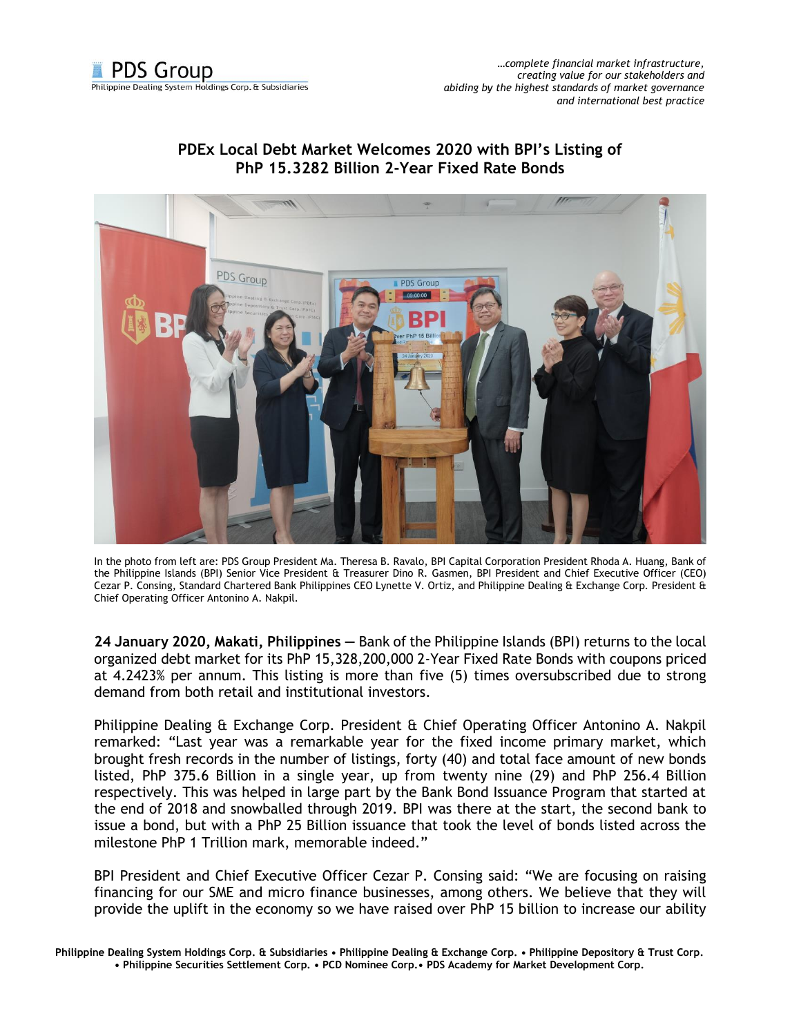

## **PDEx Local Debt Market Welcomes 2020 with BPI's Listing of PhP 15.3282 Billion 2-Year Fixed Rate Bonds**



In the photo from left are: PDS Group President Ma. Theresa B. Ravalo, BPI Capital Corporation President Rhoda A. Huang, Bank of the Philippine Islands (BPI) Senior Vice President & Treasurer Dino R. Gasmen, BPI President and Chief Executive Officer (CEO) Cezar P. Consing, Standard Chartered Bank Philippines CEO Lynette V. Ortiz, and Philippine Dealing & Exchange Corp. President & Chief Operating Officer Antonino A. Nakpil.

**24 January 2020, Makati, Philippines —** Bank of the Philippine Islands (BPI) returns to the local organized debt market for its PhP 15,328,200,000 2-Year Fixed Rate Bonds with coupons priced at 4.2423% per annum. This listing is more than five (5) times oversubscribed due to strong demand from both retail and institutional investors.

Philippine Dealing & Exchange Corp. President & Chief Operating Officer Antonino A. Nakpil remarked: "Last year was a remarkable year for the fixed income primary market, which brought fresh records in the number of listings, forty (40) and total face amount of new bonds listed, PhP 375.6 Billion in a single year, up from twenty nine (29) and PhP 256.4 Billion respectively. This was helped in large part by the Bank Bond Issuance Program that started at the end of 2018 and snowballed through 2019. BPI was there at the start, the second bank to issue a bond, but with a PhP 25 Billion issuance that took the level of bonds listed across the milestone PhP 1 Trillion mark, memorable indeed."

BPI President and Chief Executive Officer Cezar P. Consing said: "We are focusing on raising financing for our SME and micro finance businesses, among others. We believe that they will provide the uplift in the economy so we have raised over PhP 15 billion to increase our ability